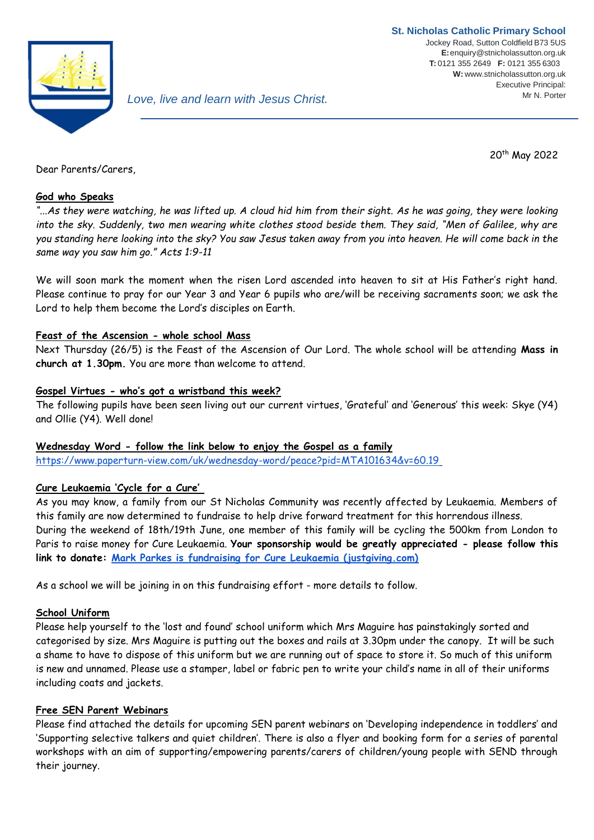

20th May 2022

Dear Parents/Carers,

#### **God who Speaks**

*"...As they were watching, he was lifted up. A cloud hid him from their sight. As he was going, they were looking into the sky. Suddenly, two men wearing white clothes stood beside them. They said, "Men of Galilee, why are you standing here looking into the sky? You saw Jesus taken away from you into heaven. He will come back in the same way you saw him go." Acts 1:9-11*

We will soon mark the moment when the risen Lord ascended into heaven to sit at His Father's right hand. Please continue to pray for our Year 3 and Year 6 pupils who are/will be receiving sacraments soon; we ask the Lord to help them become the Lord's disciples on Earth.

#### **Feast of the Ascension - whole school Mass**

Next Thursday (26/5) is the Feast of the Ascension of Our Lord. The whole school will be attending **Mass in church at 1.30pm.** You are more than welcome to attend.

#### **Gospel Virtues - who's got a wristband this week?**

The following pupils have been seen living out our current virtues, 'Grateful' and 'Generous' this week: Skye (Y4) and Ollie (Y4). Well done!

#### **Wednesday Word - follow the link below to enjoy the Gospel as a family**

<https://www.paperturn-view.com/uk/wednesday-word/peace?pid=MTA101634&v=60.19>

#### **Cure Leukaemia 'Cycle for a Cure'**

As you may know, a family from our St Nicholas Community was recently affected by Leukaemia. Members of this family are now determined to fundraise to help drive forward treatment for this horrendous illness. During the weekend of 18th/19th June, one member of this family will be cycling the 500km from London to Paris to raise money for Cure Leukaemia. **Your sponsorship would be greatly appreciated - please follow this link to donate: [Mark Parkes is fundraising for Cure Leukaemia \(justgiving.com\)](https://www.justgiving.com/fundraising/markparkesanddeansands?utm_source=Sharethis&utm_medium=fundraising&utm_content=markparkesanddeansands&utm_campaign=pfp-email&utm_term=2f79b4506e9a46109f50396ca89a8f00)**

As a school we will be joining in on this fundraising effort - more details to follow.

#### **School Uniform**

Please help yourself to the 'lost and found' school uniform which Mrs Maguire has painstakingly sorted and categorised by size. Mrs Maguire is putting out the boxes and rails at 3.30pm under the canopy. It will be such a shame to have to dispose of this uniform but we are running out of space to store it. So much of this uniform is new and unnamed. Please use a stamper, label or fabric pen to write your child's name in all of their uniforms including coats and jackets.

#### **Free SEN Parent Webinars**

Please find attached the details for upcoming SEN parent webinars on 'Developing independence in toddlers' and 'Supporting selective talkers and quiet children'. There is also a flyer and booking form for a series of parental workshops with an aim of supporting/empowering parents/carers of children/young people with SEND through their journey.